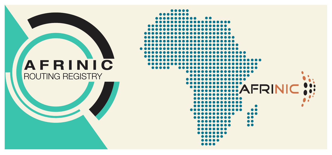## ROUTING REGISTRY **AFRINIC**

 $\begin{array}{ccccccccccccccccc} \bullet & \bullet & \bullet & \bullet & \bullet & \bullet & \bullet \end{array}$ AFRINIC **!!!**  $\bullet$   $\epsilon$  $\bullet$  $\bullet\bullet$ ....